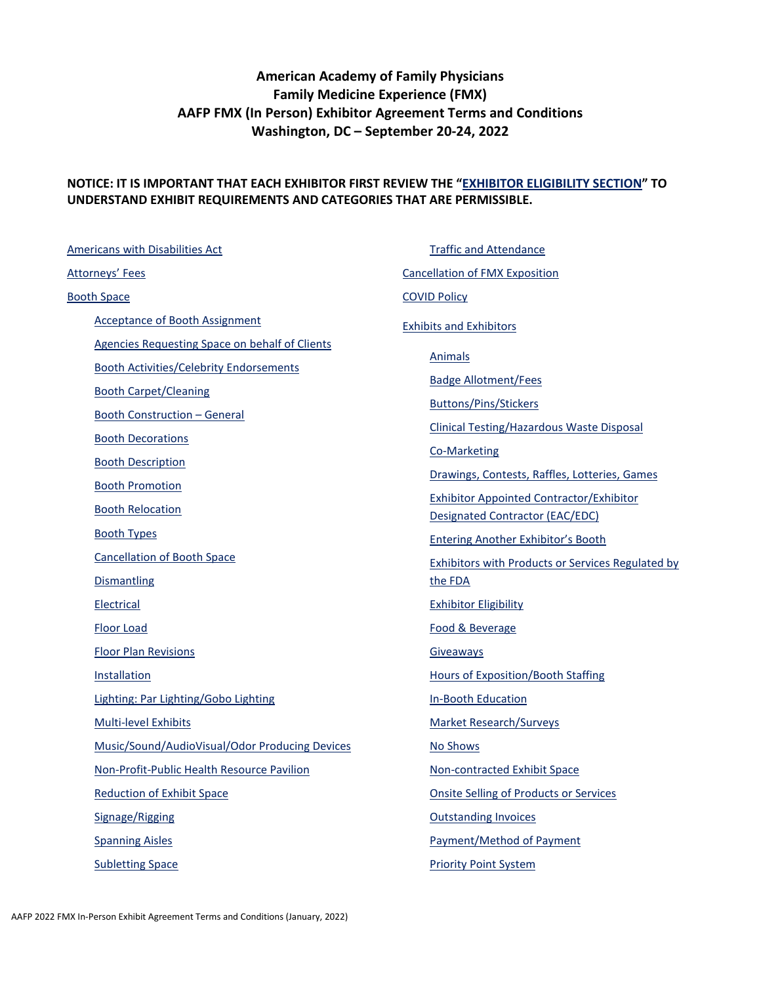# **American Academy of Family Physicians Family Medicine Experience (FMX) AAFP FMX (In Person) Exhibitor Agreement Terms and Conditions Washington, DC – September 20-24, 2022**

#### **NOTICE: IT IS IMPORTANT THAT EACH EXHIBITOR FIRST REVIEW THE ["EXHIBITOR ELIGIBILITY SECTION"](#page-11-0) TO UNDERSTAND EXHIBIT REQUIREMENTS AND CATEGORIES THAT ARE PERMISSIBLE.**

[Americans with Disabilities Act](#page-2-0) [Attorneys' Fees](#page-2-1) [Booth Space](#page-2-2) [Acceptance of Booth Assignment](#page-2-3) [Agencies Requesting Space on behalf of Clients](#page-2-4) [Booth Activities/Celebrity Endorsements](#page-3-0) [Booth Carpet/Cleaning](#page-3-1) [Booth Construction –](#page-3-2) General [Booth Decorations](#page-3-3) [Booth Description](#page-4-0) [Booth Promotion](#page-4-1) [Booth Relocation](#page-4-2) [Booth Types](#page-5-0) [Cancellation of Booth Space](#page-5-1) **[Dismantling](#page-6-0)** [Electrical](#page-6-1) [Floor Load](#page-6-2) [Floor Plan Revisions](#page-6-3) [Installation](#page-6-4) [Lighting: Par Lighting/Gobo Lighting](#page-7-0) [Multi-level Exhibits](#page-7-1) [Music/Sound/AudioVisual/Odor Producing Devices](#page-7-2) [Non-Profit-Public Health Resource Pavilion](#page-7-3) [Reduction of Exhibit Space](#page-7-4) [Signage/Rigging](#page-8-0) [Spanning Aisles](#page-8-1) [Subletting Space](#page-8-2)

[Traffic and Attendance](#page-8-3) [Cancellation of FMX Exposition](#page-8-4) [COVID Policy](#page-9-0) [Exhibits and Exhibitors](#page-9-1) [Animals](#page-9-2) [Badge Allotment/Fees](#page-10-0) [Buttons/Pins/Stickers](#page-10-1) [Clinical Testing/Hazardous Waste Disposal](#page-10-2) [Co-Marketing](#page-10-3) [Drawings, Contests, Raffles, Lotteries, Games](#page-10-4) [Exhibitor Appointed Contractor/Exhibitor](#page-11-1)  [Designated Contractor \(EAC/EDC\)](#page-11-1) [Entering Another Exhibitor's Booth](#page-11-2) [Exhibitors with Products or Services Regulated by](#page-11-3)  [the FDA](#page-11-3) [Exhibitor Eligibility](#page-11-0) [Food & Beverage](#page-13-0) [Giveaways](#page-13-1) [Hours of Exposition/Booth Staffing](#page-13-2) [In-Booth Education](#page-14-0) [Market Research/Surveys](#page-14-1) [No Shows](#page-14-2) [Non-contracted Exhibit Space](#page-14-3) [Onsite Selling of Products or Services](#page-14-4) [Outstanding Invoices](#page-15-0) [Payment/Method of Payment](#page-15-1) [Priority Point System](#page-15-2)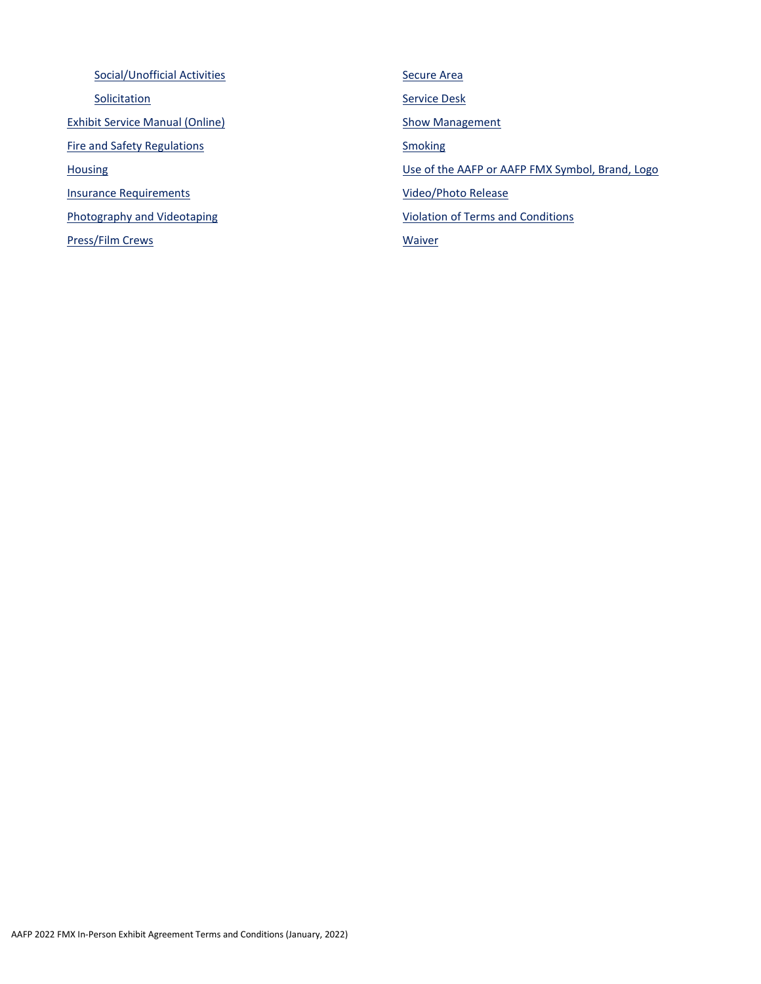[Social/Unofficial Activities](#page-16-0) **[Solicitation](#page-16-1)** [Exhibit Service Manual \(Online\)](#page-17-0) [Fire and Safety Regulations](#page-17-1) **[Housing](#page-17-2)** [Insurance Requirements](#page-17-3) [Photography and Videotaping](#page-18-0) [Press/Film Crews](#page-19-0) [Secure Area](#page-19-1) [Service Desk](#page-19-2) **[Show Management](#page-19-3) [Smoking](#page-19-4)** [Use of the AAFP or AAFP FMX Symbol, Brand, Logo](#page-19-5) [Video/Photo Release](#page-20-0) [Violation of Terms and Conditions](#page-20-1) **[Waiver](#page-21-0)**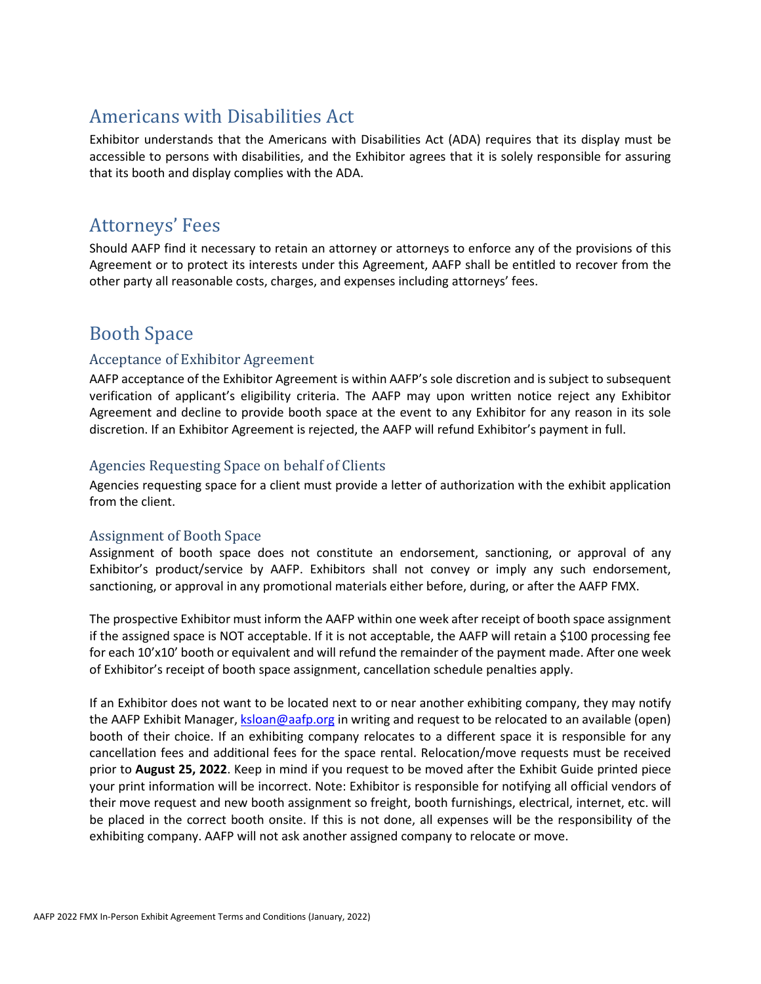# <span id="page-2-0"></span>Americans with Disabilities Act

Exhibitor understands that the Americans with Disabilities Act (ADA) requires that its display must be accessible to persons with disabilities, and the Exhibitor agrees that it is solely responsible for assuring that its booth and display complies with the ADA.

# <span id="page-2-1"></span>Attorneys' Fees

Should AAFP find it necessary to retain an attorney or attorneys to enforce any of the provisions of this Agreement or to protect its interests under this Agreement, AAFP shall be entitled to recover from the other party all reasonable costs, charges, and expenses including attorneys' fees.

# <span id="page-2-2"></span>Booth Space

## <span id="page-2-3"></span>Acceptance of Exhibitor Agreement

AAFP acceptance of the Exhibitor Agreement is within AAFP's sole discretion and is subject to subsequent verification of applicant's eligibility criteria. The AAFP may upon written notice reject any Exhibitor Agreement and decline to provide booth space at the event to any Exhibitor for any reason in its sole discretion. If an Exhibitor Agreement is rejected, the AAFP will refund Exhibitor's payment in full.

### <span id="page-2-4"></span>Agencies Requesting Space on behalf of Clients

Agencies requesting space for a client must provide a letter of authorization with the exhibit application from the client.

#### Assignment of Booth Space

Assignment of booth space does not constitute an endorsement, sanctioning, or approval of any Exhibitor's product/service by AAFP. Exhibitors shall not convey or imply any such endorsement, sanctioning, or approval in any promotional materials either before, during, or after the AAFP FMX.

The prospective Exhibitor must inform the AAFP within one week after receipt of booth space assignment if the assigned space is NOT acceptable. If it is not acceptable, the AAFP will retain a \$100 processing fee for each 10'x10' booth or equivalent and will refund the remainder of the payment made. After one week of Exhibitor's receipt of booth space assignment, cancellation schedule penalties apply.

If an Exhibitor does not want to be located next to or near another exhibiting company, they may notify the AAFP Exhibit Manager[, ksloan@aafp.org](mailto:ksloan@aafp.org) in writing and request to be relocated to an available (open) booth of their choice. If an exhibiting company relocates to a different space it is responsible for any cancellation fees and additional fees for the space rental. Relocation/move requests must be received prior to **August 25, 2022**. Keep in mind if you request to be moved after the Exhibit Guide printed piece your print information will be incorrect. Note: Exhibitor is responsible for notifying all official vendors of their move request and new booth assignment so freight, booth furnishings, electrical, internet, etc. will be placed in the correct booth onsite. If this is not done, all expenses will be the responsibility of the exhibiting company. AAFP will not ask another assigned company to relocate or move.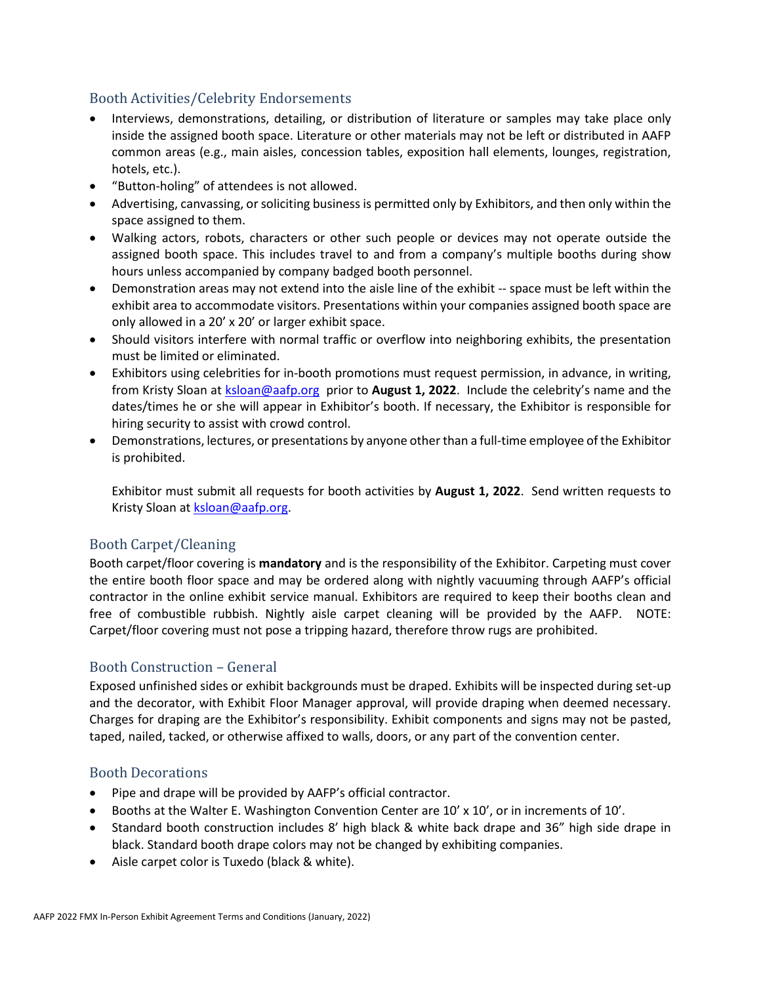### <span id="page-3-0"></span>Booth Activities/Celebrity Endorsements

- Interviews, demonstrations, detailing, or distribution of literature or samples may take place only inside the assigned booth space. Literature or other materials may not be left or distributed in AAFP common areas (e.g., main aisles, concession tables, exposition hall elements, lounges, registration, hotels, etc.).
- "Button-holing" of attendees is not allowed.
- Advertising, canvassing, or soliciting business is permitted only by Exhibitors, and then only within the space assigned to them.
- Walking actors, robots, characters or other such people or devices may not operate outside the assigned booth space. This includes travel to and from a company's multiple booths during show hours unless accompanied by company badged booth personnel.
- Demonstration areas may not extend into the aisle line of the exhibit -- space must be left within the exhibit area to accommodate visitors. Presentations within your companies assigned booth space are only allowed in a 20' x 20' or larger exhibit space.
- Should visitors interfere with normal traffic or overflow into neighboring exhibits, the presentation must be limited or eliminated.
- Exhibitors using celebrities for in-booth promotions must request permission, in advance, in writing, from Kristy Sloan at [ksloan@aafp.org](mailto:ksloan@aafp.org) prior to **August 1, 2022**. Include the celebrity's name and the dates/times he or she will appear in Exhibitor's booth. If necessary, the Exhibitor is responsible for hiring security to assist with crowd control.
- Demonstrations, lectures, or presentations by anyone other than a full-time employee of the Exhibitor is prohibited.

Exhibitor must submit all requests for booth activities by **August 1, 2022**. Send written requests to Kristy Sloan at [ksloan@aafp.org.](mailto:ksloan@aafp.org)

#### <span id="page-3-1"></span>Booth Carpet/Cleaning

Booth carpet/floor covering is **mandatory** and is the responsibility of the Exhibitor. Carpeting must cover the entire booth floor space and may be ordered along with nightly vacuuming through AAFP's official contractor in the online exhibit service manual. Exhibitors are required to keep their booths clean and free of combustible rubbish. Nightly aisle carpet cleaning will be provided by the AAFP. NOTE: Carpet/floor covering must not pose a tripping hazard, therefore throw rugs are prohibited.

#### <span id="page-3-2"></span>Booth Construction – General

Exposed unfinished sides or exhibit backgrounds must be draped. Exhibits will be inspected during set-up and the decorator, with Exhibit Floor Manager approval, will provide draping when deemed necessary. Charges for draping are the Exhibitor's responsibility. Exhibit components and signs may not be pasted, taped, nailed, tacked, or otherwise affixed to walls, doors, or any part of the convention center.

#### <span id="page-3-3"></span>Booth Decorations

- Pipe and drape will be provided by AAFP's official contractor.
- Booths at the Walter E. Washington Convention Center are 10' x 10', or in increments of 10'.
- Standard booth construction includes 8' high black & white back drape and 36" high side drape in black. Standard booth drape colors may not be changed by exhibiting companies.
- Aisle carpet color is Tuxedo (black & white).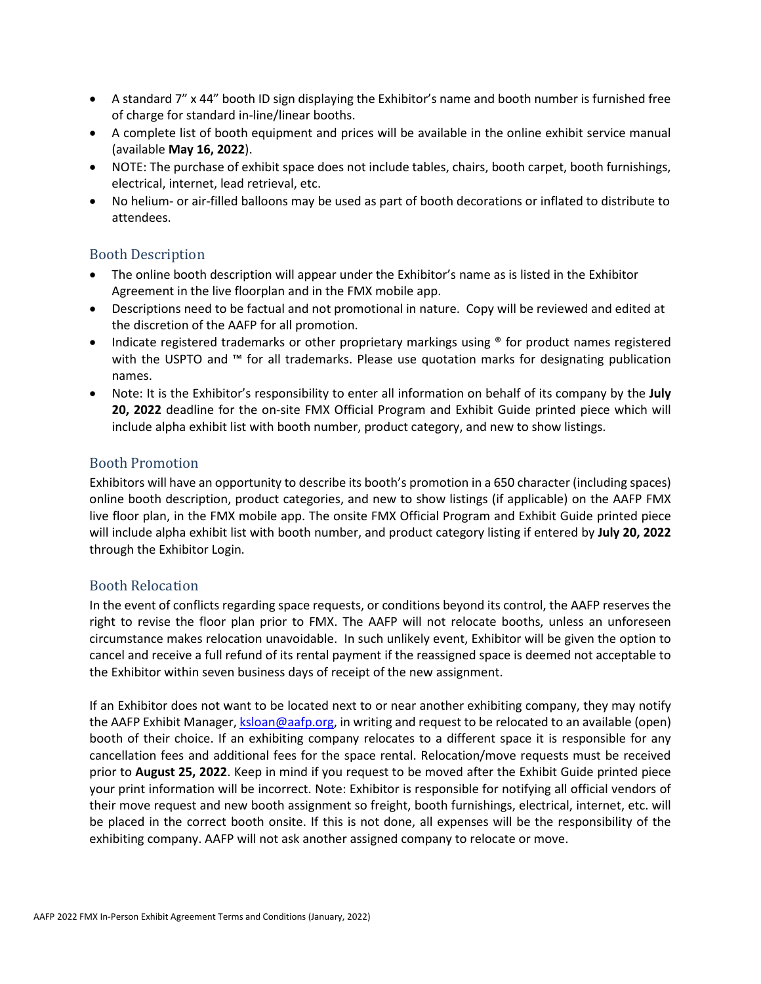- A standard 7" x 44" booth ID sign displaying the Exhibitor's name and booth number is furnished free of charge for standard in-line/linear booths.
- A complete list of booth equipment and prices will be available in the online exhibit service manual (available **May 16, 2022**).
- NOTE: The purchase of exhibit space does not include tables, chairs, booth carpet, booth furnishings, electrical, internet, lead retrieval, etc.
- No helium- or air-filled balloons may be used as part of booth decorations or inflated to distribute to attendees.

#### <span id="page-4-0"></span>Booth Description

- The online booth description will appear under the Exhibitor's name as is listed in the Exhibitor Agreement in the live floorplan and in the FMX mobile app.
- Descriptions need to be factual and not promotional in nature. Copy will be reviewed and edited at the discretion of the AAFP for all promotion.
- Indicate registered trademarks or other proprietary markings using <sup>®</sup> for product names registered with the USPTO and ™ for all trademarks. Please use quotation marks for designating publication names.
- Note: It is the Exhibitor's responsibility to enter all information on behalf of its company by the **July 20, 2022** deadline for the on-site FMX Official Program and Exhibit Guide printed piece which will include alpha exhibit list with booth number, product category, and new to show listings.

#### <span id="page-4-1"></span>Booth Promotion

Exhibitors will have an opportunity to describe its booth's promotion in a 650 character (including spaces) online booth description, product categories, and new to show listings (if applicable) on the AAFP FMX live floor plan, in the FMX mobile app. The onsite FMX Official Program and Exhibit Guide printed piece will include alpha exhibit list with booth number, and product category listing if entered by **July 20, 2022** through the Exhibitor Login.

#### <span id="page-4-2"></span>Booth Relocation

In the event of conflicts regarding space requests, or conditions beyond its control, the AAFP reserves the right to revise the floor plan prior to FMX. The AAFP will not relocate booths, unless an unforeseen circumstance makes relocation unavoidable. In such unlikely event, Exhibitor will be given the option to cancel and receive a full refund of its rental payment if the reassigned space is deemed not acceptable to the Exhibitor within seven business days of receipt of the new assignment.

If an Exhibitor does not want to be located next to or near another exhibiting company, they may notify the AAFP Exhibit Manager, *ksloan@aafp.org*, in writing and request to be relocated to an available (open) booth of their choice. If an exhibiting company relocates to a different space it is responsible for any cancellation fees and additional fees for the space rental. Relocation/move requests must be received prior to **August 25, 2022**. Keep in mind if you request to be moved after the Exhibit Guide printed piece your print information will be incorrect. Note: Exhibitor is responsible for notifying all official vendors of their move request and new booth assignment so freight, booth furnishings, electrical, internet, etc. will be placed in the correct booth onsite. If this is not done, all expenses will be the responsibility of the exhibiting company. AAFP will not ask another assigned company to relocate or move.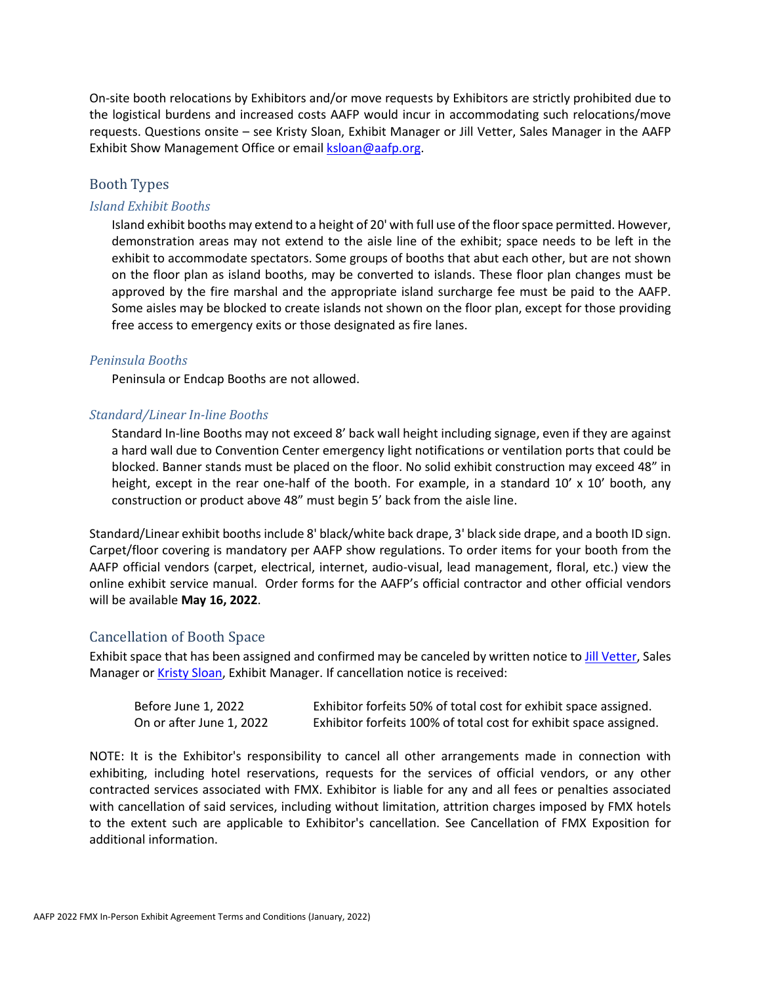On-site booth relocations by Exhibitors and/or move requests by Exhibitors are strictly prohibited due to the logistical burdens and increased costs AAFP would incur in accommodating such relocations/move requests. Questions onsite – see Kristy Sloan, Exhibit Manager or Jill Vetter, Sales Manager in the AAFP Exhibit Show Management Office or email **ksloan@aafp.org**.

#### <span id="page-5-0"></span>Booth Types

#### *Island Exhibit Booths*

Island exhibit booths may extend to a height of 20' with full use of the floor space permitted. However, demonstration areas may not extend to the aisle line of the exhibit; space needs to be left in the exhibit to accommodate spectators. Some groups of booths that abut each other, but are not shown on the floor plan as island booths, may be converted to islands. These floor plan changes must be approved by the fire marshal and the appropriate island surcharge fee must be paid to the AAFP. Some aisles may be blocked to create islands not shown on the floor plan, except for those providing free access to emergency exits or those designated as fire lanes.

#### *Peninsula Booths*

Peninsula or Endcap Booths are not allowed.

#### *Standard/Linear In-line Booths*

Standard In-line Booths may not exceed 8' back wall height including signage, even if they are against a hard wall due to Convention Center emergency light notifications or ventilation ports that could be blocked. Banner stands must be placed on the floor. No solid exhibit construction may exceed 48" in height, except in the rear one-half of the booth. For example, in a standard 10' x 10' booth, any construction or product above 48" must begin 5' back from the aisle line.

Standard/Linear exhibit booths include 8' black/white back drape, 3' black side drape, and a booth ID sign. Carpet/floor covering is mandatory per AAFP show regulations. To order items for your booth from the AAFP official vendors (carpet, electrical, internet, audio-visual, lead management, floral, etc.) view the online exhibit service manual. Order forms for the AAFP's official contractor and other official vendors will be available **May 16, 2022**.

#### <span id="page-5-1"></span>Cancellation of Booth Space

Exhibit space that has been assigned and confirmed may be canceled by written notice t[o Jill Vetter,](mailto:jvetter@aafp.org) Sales Manager or **Kristy Sloan**, Exhibit Manager. If cancellation notice is received:

| Before June 1, 2022      | Exhibitor forfeits 50% of total cost for exhibit space assigned.  |
|--------------------------|-------------------------------------------------------------------|
| On or after June 1, 2022 | Exhibitor forfeits 100% of total cost for exhibit space assigned. |

NOTE: It is the Exhibitor's responsibility to cancel all other arrangements made in connection with exhibiting, including hotel reservations, requests for the services of official vendors, or any other contracted services associated with FMX. Exhibitor is liable for any and all fees or penalties associated with cancellation of said services, including without limitation, attrition charges imposed by FMX hotels to the extent such are applicable to Exhibitor's cancellation. See Cancellation of FMX Exposition for additional information.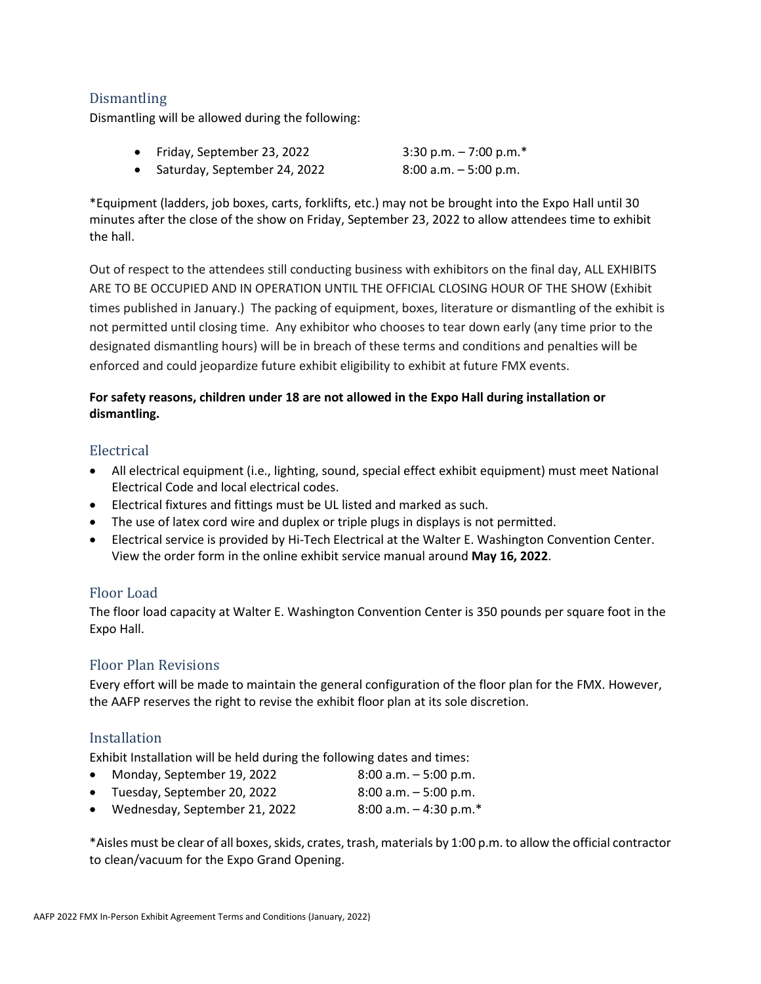### <span id="page-6-0"></span>Dismantling

Dismantling will be allowed during the following:

| Friday, September 23, 2022   | 3:30 p.m. $-7:00$ p.m.*  |
|------------------------------|--------------------------|
| Saturday, September 24, 2022 | $8:00$ a.m. $-5:00$ p.m. |

\*Equipment (ladders, job boxes, carts, forklifts, etc.) may not be brought into the Expo Hall until 30 minutes after the close of the show on Friday, September 23, 2022 to allow attendees time to exhibit the hall.

Out of respect to the attendees still conducting business with exhibitors on the final day, ALL EXHIBITS ARE TO BE OCCUPIED AND IN OPERATION UNTIL THE OFFICIAL CLOSING HOUR OF THE SHOW (Exhibit times published in January.) The packing of equipment, boxes, literature or dismantling of the exhibit is not permitted until closing time. Any exhibitor who chooses to tear down early (any time prior to the designated dismantling hours) will be in breach of these terms and conditions and penalties will be enforced and could jeopardize future exhibit eligibility to exhibit at future FMX events.

#### **For safety reasons, children under 18 are not allowed in the Expo Hall during installation or dismantling.**

#### <span id="page-6-1"></span>Electrical

- All electrical equipment (i.e., lighting, sound, special effect exhibit equipment) must meet National Electrical Code and local electrical codes.
- Electrical fixtures and fittings must be UL listed and marked as such.
- The use of latex cord wire and duplex or triple plugs in displays is not permitted.
- Electrical service is provided by Hi-Tech Electrical at the Walter E. Washington Convention Center. View the order form in the online exhibit service manual around **May 16, 2022**.

#### <span id="page-6-2"></span>Floor Load

The floor load capacity at Walter E. Washington Convention Center is 350 pounds per square foot in the Expo Hall.

#### <span id="page-6-3"></span>Floor Plan Revisions

Every effort will be made to maintain the general configuration of the floor plan for the FMX. However, the AAFP reserves the right to revise the exhibit floor plan at its sole discretion.

#### <span id="page-6-4"></span>Installation

Exhibit Installation will be held during the following dates and times:

- Monday, September 19, 2022 8:00 a.m. 5:00 p.m.
- Tuesday, September 20, 2022 8:00 a.m.  $-5:00$  p.m.
- Wednesday, September 21, 2022 8:00 a.m. 4:30 p.m.\*

\*Aisles must be clear of all boxes, skids, crates, trash, materials by 1:00 p.m. to allow the official contractor to clean/vacuum for the Expo Grand Opening.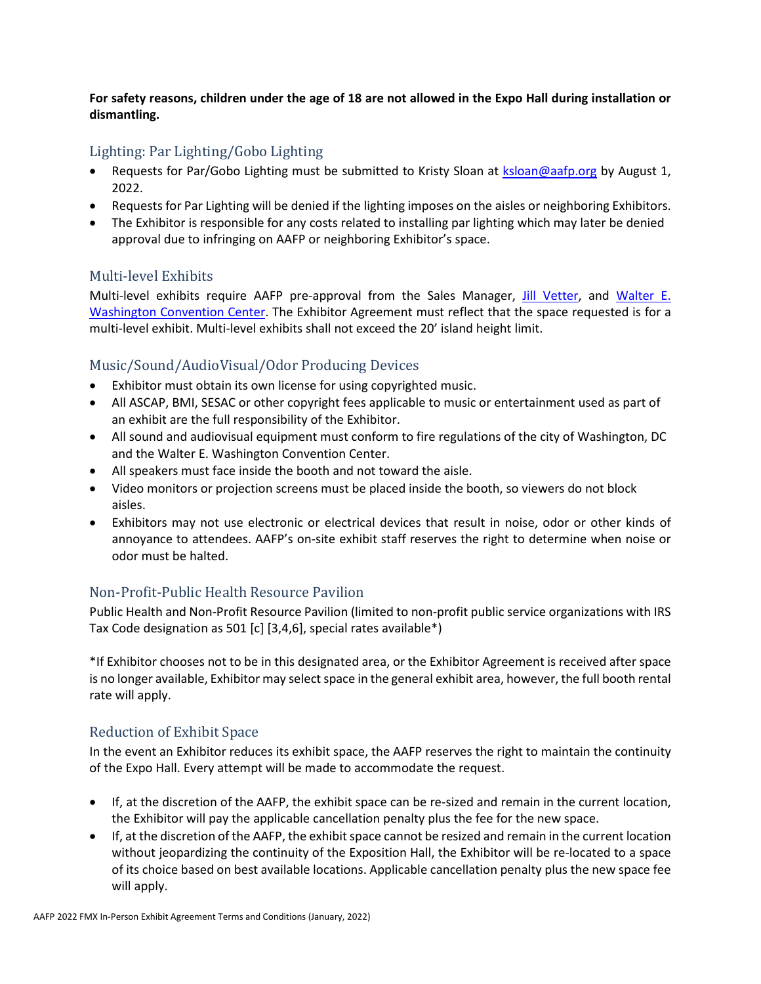**For safety reasons, children under the age of 18 are not allowed in the Expo Hall during installation or dismantling.**

## <span id="page-7-0"></span>Lighting: Par Lighting/Gobo Lighting

- Requests for Par/Gobo Lighting must be submitted to Kristy Sloan at [ksloan@aafp.org](mailto:ksloan@aafp.org) by August 1, 2022.
- Requests for Par Lighting will be denied if the lighting imposes on the aisles or neighboring Exhibitors.
- The Exhibitor is responsible for any costs related to installing par lighting which may later be denied approval due to infringing on AAFP or neighboring Exhibitor's space.

## <span id="page-7-1"></span>Multi-level Exhibits

Multi-level exhibits require AAFP pre-approval from the Sales Manager, [Jill Vetter,](mailto:jvetter@aafp.org) and [Walter E.](https://eventsdc.com/venue/walter-e-washington-convention-center/exhibitor-services)  [Washington Convention Center.](https://eventsdc.com/venue/walter-e-washington-convention-center/exhibitor-services) The Exhibitor Agreement must reflect that the space requested is for a multi-level exhibit. Multi-level exhibits shall not exceed the 20' island height limit.

# <span id="page-7-2"></span>Music/Sound/AudioVisual/Odor Producing Devices

- Exhibitor must obtain its own license for using copyrighted music.
- All ASCAP, BMI, SESAC or other copyright fees applicable to music or entertainment used as part of an exhibit are the full responsibility of the Exhibitor.
- All sound and audiovisual equipment must conform to fire regulations of the city of Washington, DC and the Walter E. Washington Convention Center.
- All speakers must face inside the booth and not toward the aisle.
- Video monitors or projection screens must be placed inside the booth, so viewers do not block aisles.
- Exhibitors may not use electronic or electrical devices that result in noise, odor or other kinds of annoyance to attendees. AAFP's on-site exhibit staff reserves the right to determine when noise or odor must be halted.

## <span id="page-7-3"></span>Non-Profit-Public Health Resource Pavilion

Public Health and Non-Profit Resource Pavilion (limited to non-profit public service organizations with IRS Tax Code designation as 501 [c] [3,4,6], special rates available\*)

\*If Exhibitor chooses not to be in this designated area, or the Exhibitor Agreement is received after space is no longer available, Exhibitor may select space in the general exhibit area, however, the full booth rental rate will apply.

## <span id="page-7-4"></span>Reduction of Exhibit Space

In the event an Exhibitor reduces its exhibit space, the AAFP reserves the right to maintain the continuity of the Expo Hall. Every attempt will be made to accommodate the request.

- If, at the discretion of the AAFP, the exhibit space can be re-sized and remain in the current location, the Exhibitor will pay the applicable cancellation penalty plus the fee for the new space.
- If, at the discretion of the AAFP, the exhibit space cannot be resized and remain in the current location without jeopardizing the continuity of the Exposition Hall, the Exhibitor will be re-located to a space of its choice based on best available locations. Applicable cancellation penalty plus the new space fee will apply.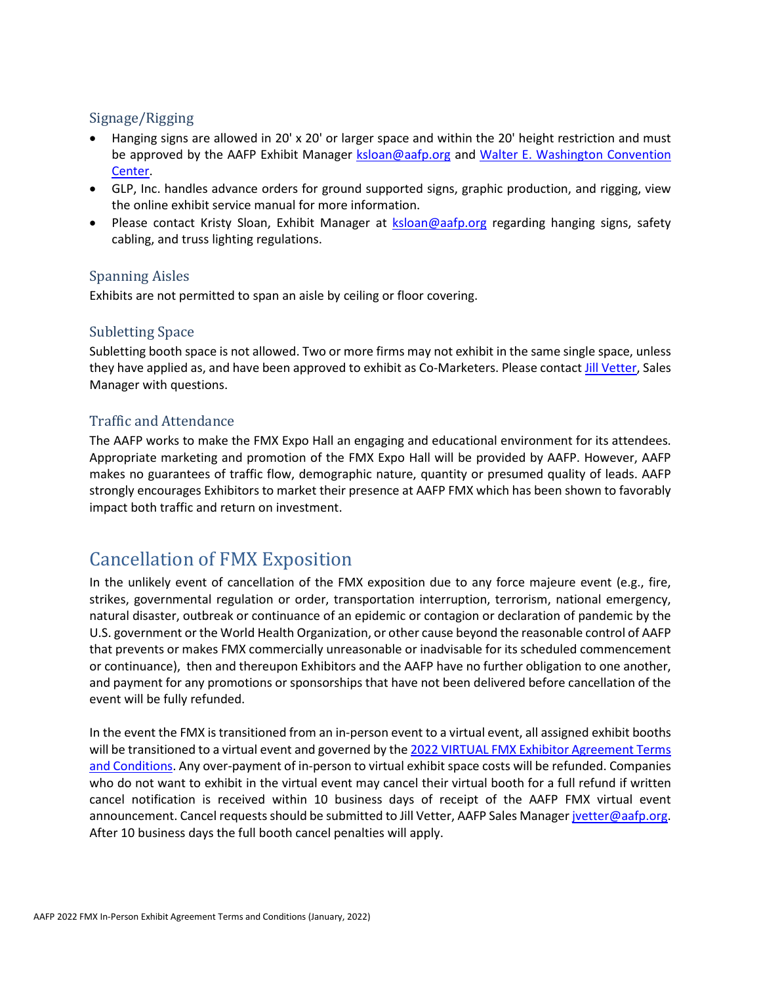### <span id="page-8-0"></span>Signage/Rigging

- Hanging signs are allowed in 20' x 20' or larger space and within the 20' height restriction and must be approved by the AAFP Exhibit Manager [ksloan@aafp.org](mailto:ksloan@aafp.org) and [Walter E. Washington](https://eventsdc.com/venue/walter-e-washington-convention-center/exhibitor-services) Convention [Center.](https://eventsdc.com/venue/walter-e-washington-convention-center/exhibitor-services)
- GLP, Inc. handles advance orders for ground supported signs, graphic production, and rigging, view the online exhibit service manual for more information.
- Please contact Kristy Sloan, Exhibit Manager at **[ksloan@aafp.org](mailto:ksloan@aafp.org)** regarding hanging signs, safety cabling, and truss lighting regulations.

### <span id="page-8-1"></span>Spanning Aisles

Exhibits are not permitted to span an aisle by ceiling or floor covering.

### <span id="page-8-2"></span>Subletting Space

Subletting booth space is not allowed. Two or more firms may not exhibit in the same single space, unless they have applied as, and have been approved to exhibit as Co-Marketers. Please contac[t Jill Vetter,](mailto:jvetter@aafp.org) Sales Manager with questions.

## <span id="page-8-3"></span>Traffic and Attendance

The AAFP works to make the FMX Expo Hall an engaging and educational environment for its attendees. Appropriate marketing and promotion of the FMX Expo Hall will be provided by AAFP. However, AAFP makes no guarantees of traffic flow, demographic nature, quantity or presumed quality of leads. AAFP strongly encourages Exhibitors to market their presence at AAFP FMX which has been shown to favorably impact both traffic and return on investment.

# <span id="page-8-4"></span>Cancellation of FMX Exposition

In the unlikely event of cancellation of the FMX exposition due to any force majeure event (e.g., fire, strikes, governmental regulation or order, transportation interruption, terrorism, national emergency, natural disaster, outbreak or continuance of an epidemic or contagion or declaration of pandemic by the U.S. government or the World Health Organization, or other cause beyond the reasonable control of AAFP that prevents or makes FMX commercially unreasonable or inadvisable for its scheduled commencement or continuance), then and thereupon Exhibitors and the AAFP have no further obligation to one another, and payment for any promotions or sponsorships that have not been delivered before cancellation of the event will be fully refunded.

In the event the FMX is transitioned from an in-person event to a virtual event, all assigned exhibit booths will be transitioned to a virtual event and governed by the 2022 VIRTUAL FMX Exhibitor Agreement Terms [and Conditions.](https://www.aafp.org/dam/AAFP/documents/events/fmx/2022/virtual-FMX-exhibitor-agreement-terms-and-conditions.pdf) Any over-payment of in-person to virtual exhibit space costs will be refunded. Companies who do not want to exhibit in the virtual event may cancel their virtual booth for a full refund if written cancel notification is received within 10 business days of receipt of the AAFP FMX virtual event announcement. Cancel requests should be submitted to Jill Vetter, AAFP Sales Manage[r jvetter@aafp.org.](mailto:jvetter@aafp.org) After 10 business days the full booth cancel penalties will apply.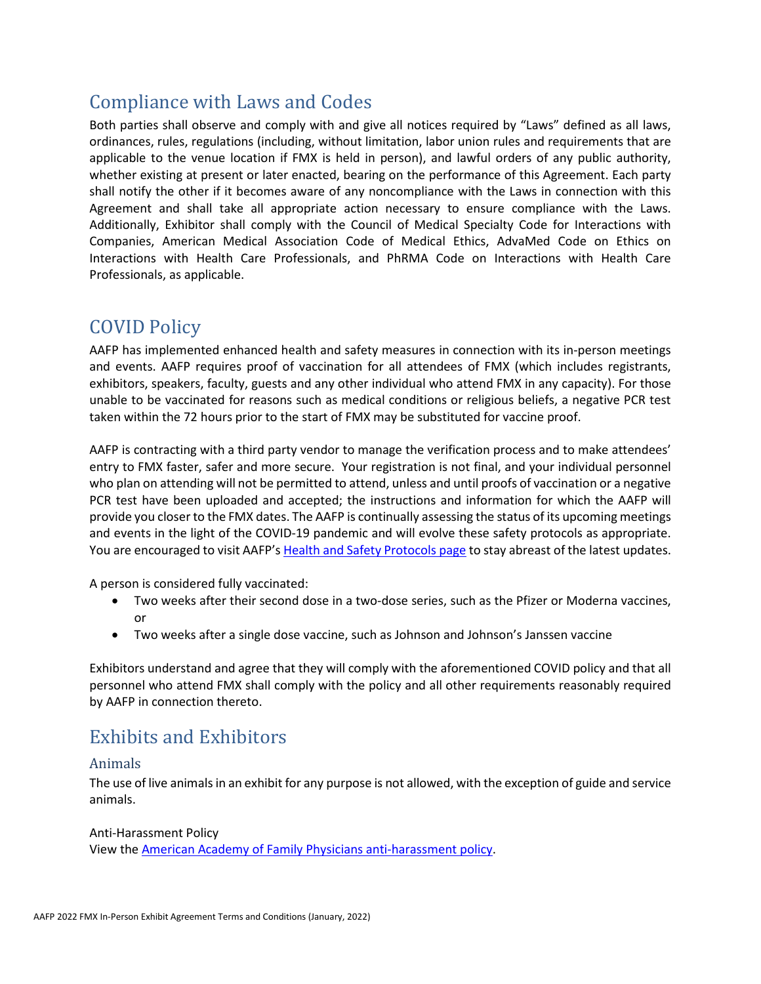# Compliance with Laws and Codes

Both parties shall observe and comply with and give all notices required by "Laws" defined as all laws, ordinances, rules, regulations (including, without limitation, labor union rules and requirements that are applicable to the venue location if FMX is held in person), and lawful orders of any public authority, whether existing at present or later enacted, bearing on the performance of this Agreement. Each party shall notify the other if it becomes aware of any noncompliance with the Laws in connection with this Agreement and shall take all appropriate action necessary to ensure compliance with the Laws. Additionally, Exhibitor shall comply with the Council of Medical Specialty Code for Interactions with Companies, American Medical Association Code of Medical Ethics, AdvaMed Code on Ethics on Interactions with Health Care Professionals, and PhRMA Code on Interactions with Health Care Professionals, as applicable.

# <span id="page-9-0"></span>COVID Policy

AAFP has implemented enhanced health and safety measures in connection with its in-person meetings and events. AAFP requires proof of vaccination for all attendees of FMX (which includes registrants, exhibitors, speakers, faculty, guests and any other individual who attend FMX in any capacity). For those unable to be vaccinated for reasons such as medical conditions or religious beliefs, a negative PCR test taken within the 72 hours prior to the start of FMX may be substituted for vaccine proof.

AAFP is contracting with a third party vendor to manage the verification process and to make attendees' entry to FMX faster, safer and more secure. Your registration is not final, and your individual personnel who plan on attending will not be permitted to attend, unless and until proofs of vaccination or a negative PCR test have been uploaded and accepted; the instructions and information for which the AAFP will provide you closer to the FMX dates. The AAFP is continually assessing the status of its upcoming meetings and events in the light of the COVID-19 pandemic and will evolve these safety protocols as appropriate. You are encouraged to visit AAFP's [Health and Safety Protocols page](https://www.aafp.org/events/safety-protocols.html) to stay abreast of the latest updates.

A person is considered fully vaccinated:

- Two weeks after their second dose in a two-dose series, such as the Pfizer or Moderna vaccines, or
- Two weeks after a single dose vaccine, such as Johnson and Johnson's Janssen vaccine

Exhibitors understand and agree that they will comply with the aforementioned COVID policy and that all personnel who attend FMX shall comply with the policy and all other requirements reasonably required by AAFP in connection thereto.

# <span id="page-9-1"></span>Exhibits and Exhibitors

#### <span id="page-9-2"></span>Animals

The use of live animals in an exhibit for any purpose is not allowed, with the exception of guide and service animals.

Anti-Harassment Policy View the [American Academy of Family Physicians anti-harassment policy.](https://www.aafp.org/about/policies/all/anti-harassment.html)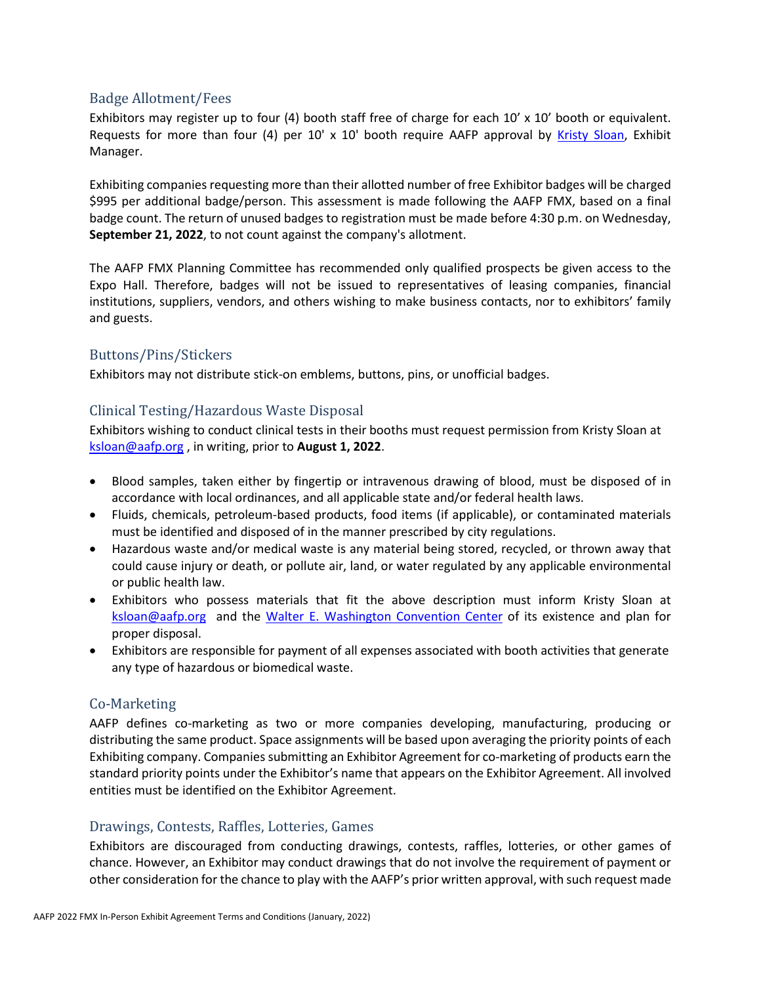#### <span id="page-10-0"></span>Badge Allotment/Fees

Exhibitors may register up to four (4) booth staff free of charge for each 10' x 10' booth or equivalent. Requests for more than four (4) per 10' x 10' booth require AAFP approval by [Kristy Sloan,](mailto:ksloan@aafp.org) Exhibit Manager.

Exhibiting companies requesting more than their allotted number of free Exhibitor badges will be charged \$995 per additional badge/person. This assessment is made following the AAFP FMX, based on a final badge count. The return of unused badges to registration must be made before 4:30 p.m. on Wednesday, **September 21, 2022**, to not count against the company's allotment.

The AAFP FMX Planning Committee has recommended only qualified prospects be given access to the Expo Hall. Therefore, badges will not be issued to representatives of leasing companies, financial institutions, suppliers, vendors, and others wishing to make business contacts, nor to exhibitors' family and guests.

#### <span id="page-10-1"></span>Buttons/Pins/Stickers

Exhibitors may not distribute stick-on emblems, buttons, pins, or unofficial badges.

#### <span id="page-10-2"></span>Clinical Testing/Hazardous Waste Disposal

Exhibitors wishing to conduct clinical tests in their booths must request permission from Kristy Sloan at [ksloan@aafp.org](mailto:ksloan@aafp.org) , in writing, prior to **August 1, 2022**.

- Blood samples, taken either by fingertip or intravenous drawing of blood, must be disposed of in accordance with local ordinances, and all applicable state and/or federal health laws.
- Fluids, chemicals, petroleum-based products, food items (if applicable), or contaminated materials must be identified and disposed of in the manner prescribed by city regulations.
- Hazardous waste and/or medical waste is any material being stored, recycled, or thrown away that could cause injury or death, or pollute air, land, or water regulated by any applicable environmental or public health law.
- Exhibitors who possess materials that fit the above description must inform Kristy Sloan at [ksloan@aafp.org](mailto:ksloan@aafp.org) and the [Walter E. Washington Convention Center](https://eventsdc.com/venue/walter-e-washington-convention-center/exhibitor-services) of its existence and plan for proper disposal.
- Exhibitors are responsible for payment of all expenses associated with booth activities that generate any type of hazardous or biomedical waste.

#### <span id="page-10-3"></span>Co-Marketing

AAFP defines co-marketing as two or more companies developing, manufacturing, producing or distributing the same product. Space assignments will be based upon averaging the priority points of each Exhibiting company. Companies submitting an Exhibitor Agreement for co-marketing of products earn the standard priority points under the Exhibitor's name that appears on the Exhibitor Agreement. All involved entities must be identified on the Exhibitor Agreement.

#### <span id="page-10-4"></span>Drawings, Contests, Raffles, Lotteries, Games

Exhibitors are discouraged from conducting drawings, contests, raffles, lotteries, or other games of chance. However, an Exhibitor may conduct drawings that do not involve the requirement of payment or other consideration for the chance to play with the AAFP's prior written approval, with such request made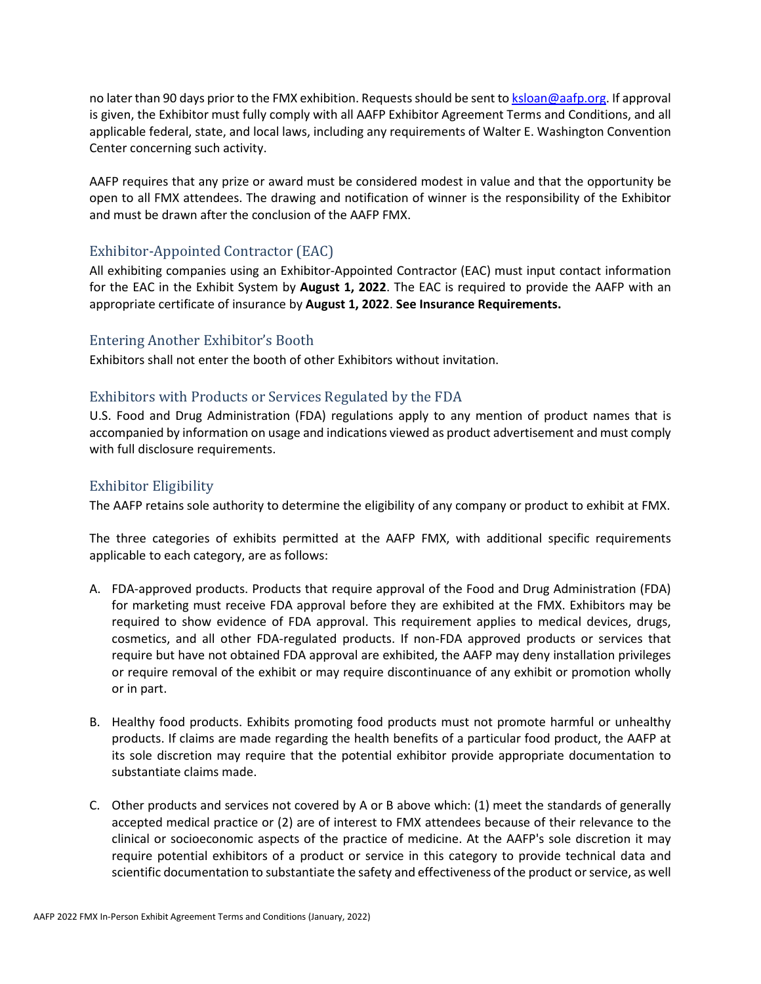no later than 90 days prior to the FMX exhibition. Requests should be sent to [ksloan@aafp.org.](mailto:ksloan@aafp.org) If approval is given, the Exhibitor must fully comply with all AAFP Exhibitor Agreement Terms and Conditions, and all applicable federal, state, and local laws, including any requirements of Walter E. Washington Convention Center concerning such activity.

AAFP requires that any prize or award must be considered modest in value and that the opportunity be open to all FMX attendees. The drawing and notification of winner is the responsibility of the Exhibitor and must be drawn after the conclusion of the AAFP FMX.

### <span id="page-11-1"></span>Exhibitor-Appointed Contractor (EAC)

All exhibiting companies using an Exhibitor-Appointed Contractor (EAC) must input contact information for the EAC in the Exhibit System by **August 1, 2022**. The EAC is required to provide the AAFP with an appropriate certificate of insurance by **August 1, 2022**. **See Insurance Requirements.**

#### <span id="page-11-2"></span>Entering Another Exhibitor's Booth

Exhibitors shall not enter the booth of other Exhibitors without invitation.

### <span id="page-11-3"></span>Exhibitors with Products or Services Regulated by the FDA

U.S. Food and Drug Administration (FDA) regulations apply to any mention of product names that is accompanied by information on usage and indications viewed as product advertisement and must comply with full disclosure requirements.

### <span id="page-11-0"></span>Exhibitor Eligibility

The AAFP retains sole authority to determine the eligibility of any company or product to exhibit at FMX.

The three categories of exhibits permitted at the AAFP FMX, with additional specific requirements applicable to each category, are as follows:

- A. FDA-approved products. Products that require approval of the Food and Drug Administration (FDA) for marketing must receive FDA approval before they are exhibited at the FMX. Exhibitors may be required to show evidence of FDA approval. This requirement applies to medical devices, drugs, cosmetics, and all other FDA-regulated products. If non-FDA approved products or services that require but have not obtained FDA approval are exhibited, the AAFP may deny installation privileges or require removal of the exhibit or may require discontinuance of any exhibit or promotion wholly or in part.
- B. Healthy food products. Exhibits promoting food products must not promote harmful or unhealthy products. If claims are made regarding the health benefits of a particular food product, the AAFP at its sole discretion may require that the potential exhibitor provide appropriate documentation to substantiate claims made.
- C. Other products and services not covered by A or B above which: (1) meet the standards of generally accepted medical practice or (2) are of interest to FMX attendees because of their relevance to the clinical or socioeconomic aspects of the practice of medicine. At the AAFP's sole discretion it may require potential exhibitors of a product or service in this category to provide technical data and scientific documentation to substantiate the safety and effectiveness of the product or service, as well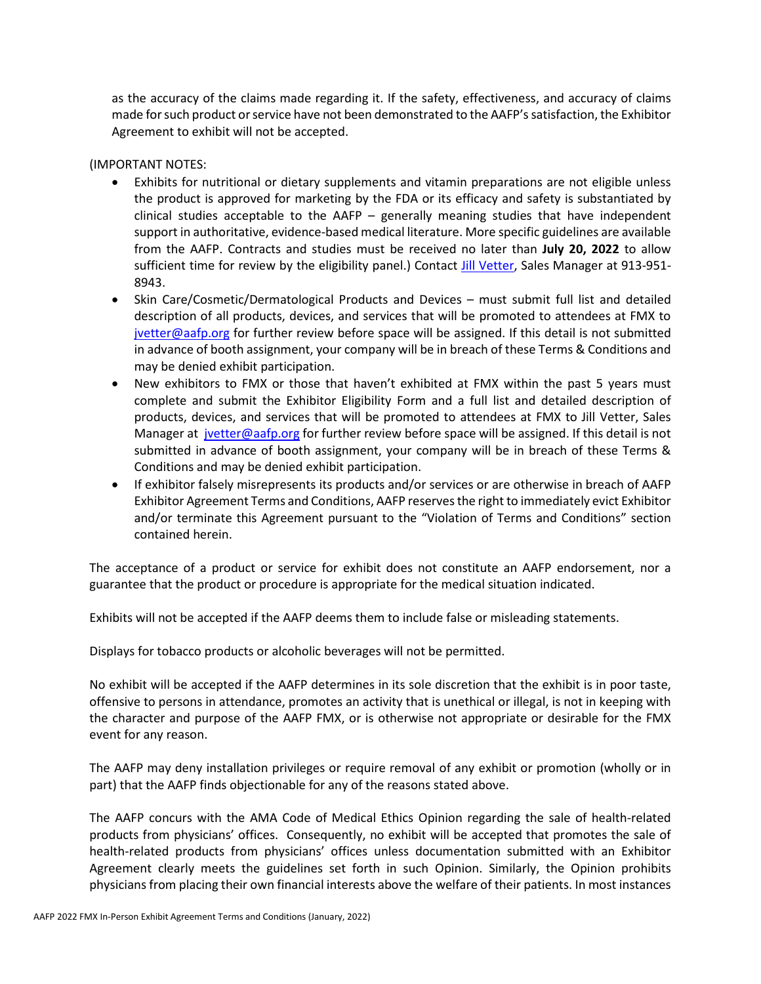as the accuracy of the claims made regarding it. If the safety, effectiveness, and accuracy of claims made for such product or service have not been demonstrated to the AAFP's satisfaction, the Exhibitor Agreement to exhibit will not be accepted.

#### (IMPORTANT NOTES:

- Exhibits for nutritional or dietary supplements and vitamin preparations are not eligible unless the product is approved for marketing by the FDA or its efficacy and safety is substantiated by clinical studies acceptable to the AAFP – generally meaning studies that have independent support in authoritative, evidence-based medical literature. More specific guidelines are available from the AAFP. Contracts and studies must be received no later than **July 20, 2022** to allow sufficient time for review by the eligibility panel.) Contact [Jill Vetter,](mailto:jvetter@aafp.org) Sales Manager at 913-951-8943.
- Skin Care/Cosmetic/Dermatological Products and Devices must submit full list and detailed description of all products, devices, and services that will be promoted to attendees at FMX to [jvetter@aafp.org](mailto:jvetter@aafp.org) for further review before space will be assigned. If this detail is not submitted in advance of booth assignment, your company will be in breach of these Terms & Conditions and may be denied exhibit participation.
- New exhibitors to FMX or those that haven't exhibited at FMX within the past 5 years must complete and submit the Exhibitor Eligibility Form and a full list and detailed description of products, devices, and services that will be promoted to attendees at FMX to Jill Vetter, Sales Manager at [jvetter@aafp.org](mailto:jvetter@aafp.org) for further review before space will be assigned. If this detail is not submitted in advance of booth assignment, your company will be in breach of these Terms & Conditions and may be denied exhibit participation.
- If exhibitor falsely misrepresents its products and/or services or are otherwise in breach of AAFP Exhibitor Agreement Terms and Conditions, AAFP reserves the right to immediately evict Exhibitor and/or terminate this Agreement pursuant to the "Violation of Terms and Conditions" section contained herein.

The acceptance of a product or service for exhibit does not constitute an AAFP endorsement, nor a guarantee that the product or procedure is appropriate for the medical situation indicated.

Exhibits will not be accepted if the AAFP deems them to include false or misleading statements.

Displays for tobacco products or alcoholic beverages will not be permitted.

No exhibit will be accepted if the AAFP determines in its sole discretion that the exhibit is in poor taste, offensive to persons in attendance, promotes an activity that is unethical or illegal, is not in keeping with the character and purpose of the AAFP FMX, or is otherwise not appropriate or desirable for the FMX event for any reason.

The AAFP may deny installation privileges or require removal of any exhibit or promotion (wholly or in part) that the AAFP finds objectionable for any of the reasons stated above.

The AAFP concurs with the AMA Code of Medical Ethics Opinion regarding the sale of health-related products from physicians' offices. Consequently, no exhibit will be accepted that promotes the sale of health-related products from physicians' offices unless documentation submitted with an Exhibitor Agreement clearly meets the guidelines set forth in such Opinion. Similarly, the Opinion prohibits physicians from placing their own financial interests above the welfare of their patients. In most instances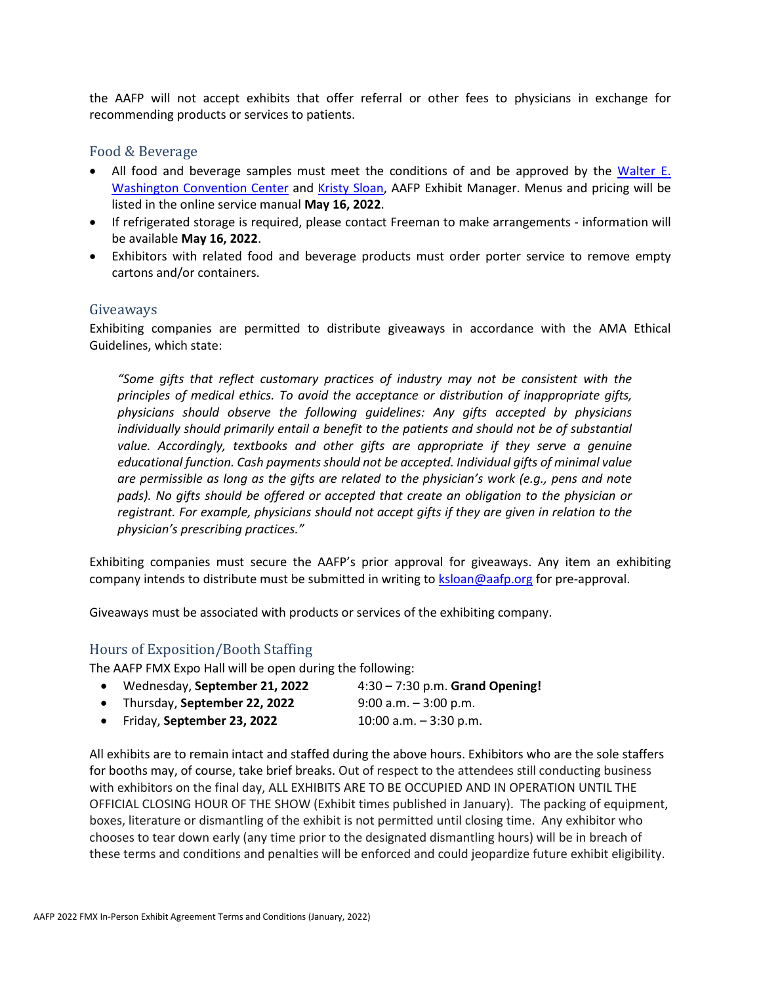the AAFP will not accept exhibits that offer referral or other fees to physicians in exchange for recommending products or services to patients.

#### <span id="page-13-0"></span>Food & Beverage

- All food and beverage samples must meet the conditions of and be approved by the Walter E. [Washington Convention Center](https://eventsdc.com/venue/walter-e-washington-convention-center/food-beverage) and [Kristy Sloan,](mailto:ksloan@aafp.org) AAFP Exhibit Manager. Menus and pricing will be listed in the online service manual **May 16, 2022**.
- If refrigerated storage is required, please contact Freeman to make arrangements information will be available **May 16, 2022**.
- Exhibitors with related food and beverage products must order porter service to remove empty cartons and/or containers.

#### <span id="page-13-1"></span>Giveaways

Exhibiting companies are permitted to distribute giveaways in accordance with the AMA Ethical Guidelines, which state:

*"Some gifts that reflect customary practices of industry may not be consistent with the principles of medical ethics. To avoid the acceptance or distribution of inappropriate gifts, physicians should observe the following guidelines: Any gifts accepted by physicians individually should primarily entail a benefit to the patients and should not be of substantial value. Accordingly, textbooks and other gifts are appropriate if they serve a genuine educational function. Cash payments should not be accepted. Individual gifts of minimal value are permissible as long as the gifts are related to the physician's work (e.g., pens and note*  pads). No gifts should be offered or accepted that create an obligation to the physician or *registrant. For example, physicians should not accept gifts if they are given in relation to the physician's prescribing practices."*

Exhibiting companies must secure the AAFP's prior approval for giveaways. Any item an exhibiting company intends to distribute must be submitted in writing to [ksloan@aafp.org](mailto:ksloan@aafp.org) for pre-approval.

Giveaways must be associated with products or services of the exhibiting company.

#### <span id="page-13-2"></span>Hours of Exposition/Booth Staffing

The AAFP FMX Expo Hall will be open during the following:

- Wednesday, **September 21, 2022** 4:30 7:30 p.m. **Grand Opening!** • Thursday, **September 22, 2022** 9:00 a.m. – 3:00 p.m.
- 
- Friday, **September 23, 2022** 10:00 a.m. 3:30 p.m.

All exhibits are to remain intact and staffed during the above hours. Exhibitors who are the sole staffers for booths may, of course, take brief breaks. Out of respect to the attendees still conducting business with exhibitors on the final day, ALL EXHIBITS ARE TO BE OCCUPIED AND IN OPERATION UNTIL THE OFFICIAL CLOSING HOUR OF THE SHOW (Exhibit times published in January). The packing of equipment, boxes, literature or dismantling of the exhibit is not permitted until closing time. Any exhibitor who chooses to tear down early (any time prior to the designated dismantling hours) will be in breach of these terms and conditions and penalties will be enforced and could jeopardize future exhibit eligibility.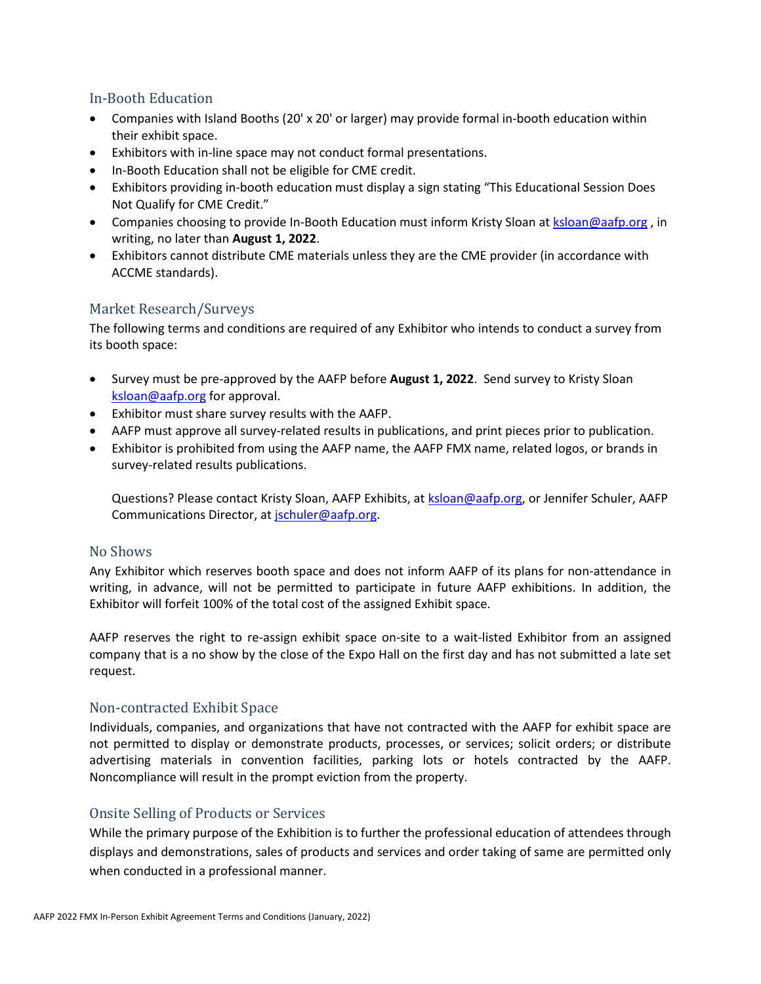### <span id="page-14-0"></span>In-Booth Education

- Companies with Island Booths (20' x 20' or larger) may provide formal in-booth education within their exhibit space.
- Exhibitors with in-line space may not conduct formal presentations.
- In-Booth Education shall not be eligible for CME credit.
- Exhibitors providing in-booth education must display a sign stating "This Educational Session Does Not Qualify for CME Credit."
- Companies choosing to provide In-Booth Education must inform Kristy Sloan at [ksloan@aafp.org](mailto:ksloan@aafp.org), in writing, no later than **August 1, 2022**.
- Exhibitors cannot distribute CME materials unless they are the CME provider (in accordance with ACCME standards).

#### <span id="page-14-1"></span>Market Research/Surveys

The following terms and conditions are required of any Exhibitor who intends to conduct a survey from its booth space:

- Survey must be pre-approved by the AAFP before **August 1, 2022**. Send survey to Kristy Sloan [ksloan@aafp.org](mailto:ksloan@aafp.org) for approval.
- Exhibitor must share survey results with the AAFP.
- AAFP must approve all survey-related results in publications, and print pieces prior to publication.
- Exhibitor is prohibited from using the AAFP name, the AAFP FMX name, related logos, or brands in survey-related results publications.

Questions? Please contact Kristy Sloan, AAFP Exhibits, at [ksloan@aafp.org,](mailto:ksloan@aafp.org) or Jennifer Schuler, AAFP Communications Director, at [jschuler@aafp.org.](mailto:jschuler@aafp.org)

#### <span id="page-14-2"></span>No Shows

Any Exhibitor which reserves booth space and does not inform AAFP of its plans for non-attendance in writing, in advance, will not be permitted to participate in future AAFP exhibitions. In addition, the Exhibitor will forfeit 100% of the total cost of the assigned Exhibit space.

AAFP reserves the right to re-assign exhibit space on-site to a wait-listed Exhibitor from an assigned company that is a no show by the close of the Expo Hall on the first day and has not submitted a late set request.

#### <span id="page-14-3"></span>Non-contracted Exhibit Space

Individuals, companies, and organizations that have not contracted with the AAFP for exhibit space are not permitted to display or demonstrate products, processes, or services; solicit orders; or distribute advertising materials in convention facilities, parking lots or hotels contracted by the AAFP. Noncompliance will result in the prompt eviction from the property.

## <span id="page-14-4"></span>Onsite Selling of Products or Services

While the primary purpose of the Exhibition is to further the professional education of attendees through displays and demonstrations, sales of products and services and order taking of same are permitted only when conducted in a professional manner.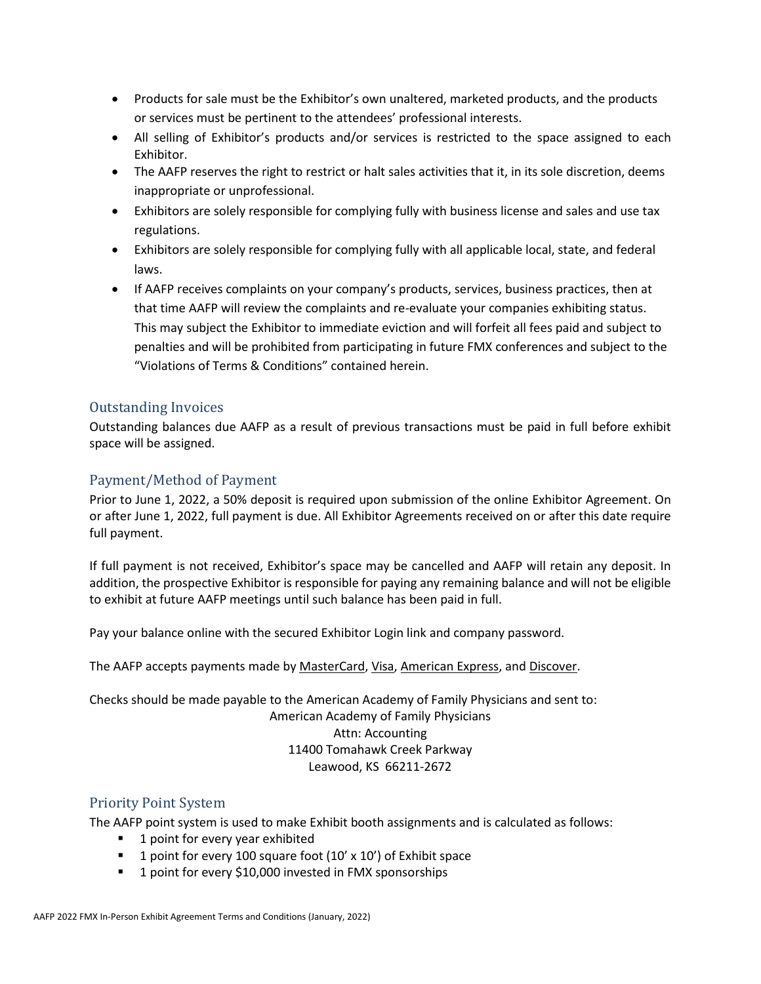- Products for sale must be the Exhibitor's own unaltered, marketed products, and the products or services must be pertinent to the attendees' professional interests.
- All selling of Exhibitor's products and/or services is restricted to the space assigned to each Exhibitor.
- The AAFP reserves the right to restrict or halt sales activities that it, in its sole discretion, deems inappropriate or unprofessional.
- Exhibitors are solely responsible for complying fully with business license and sales and use tax regulations.
- Exhibitors are solely responsible for complying fully with all applicable local, state, and federal laws.
- If AAFP receives complaints on your company's products, services, business practices, then at that time AAFP will review the complaints and re-evaluate your companies exhibiting status. This may subject the Exhibitor to immediate eviction and will forfeit all fees paid and subject to penalties and will be prohibited from participating in future FMX conferences and subject to the "Violations of Terms & Conditions" contained herein.

### <span id="page-15-0"></span>Outstanding Invoices

Outstanding balances due AAFP as a result of previous transactions must be paid in full before exhibit space will be assigned.

### <span id="page-15-1"></span>Payment/Method of Payment

Prior to June 1, 2022, a 50% deposit is required upon submission of the online Exhibitor Agreement. On or after June 1, 2022, full payment is due. All Exhibitor Agreements received on or after this date require full payment.

If full payment is not received, Exhibitor's space may be cancelled and AAFP will retain any deposit. In addition, the prospective Exhibitor is responsible for paying any remaining balance and will not be eligible to exhibit at future AAFP meetings until such balance has been paid in full.

Leawood, KS 66211-2672

Pay your balance online with the secured Exhibitor Login link and company password.

The AAFP accepts payments made by MasterCard, Visa, American Express, and Discover.

Checks should be made payable to the American Academy of Family Physicians and sent to: American Academy of Family Physicians Attn: Accounting 11400 Tomahawk Creek Parkway

#### <span id="page-15-2"></span>Priority Point System

The AAFP point system is used to make Exhibit booth assignments and is calculated as follows:

- 1 point for every year exhibited
- **1** point for every 100 square foot  $(10' \times 10')$  of Exhibit space
- 1 point for every \$10,000 invested in FMX sponsorships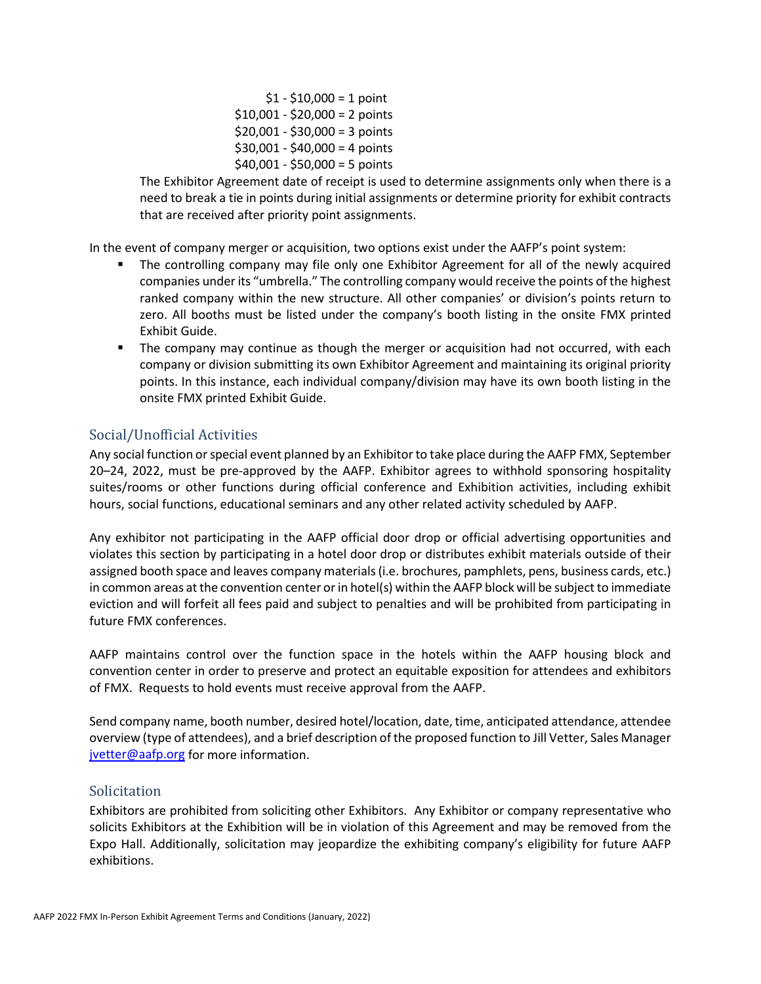$$1 - $10,000 = 1$  point  $$10,001 - $20,000 = 2$  points  $$20,001 - $30,000 = 3$  points  $$30,001 - $40,000 = 4$  points  $$40,001 - $50,000 = 5$  points

The Exhibitor Agreement date of receipt is used to determine assignments only when there is a need to break a tie in points during initial assignments or determine priority for exhibit contracts that are received after priority point assignments.

In the event of company merger or acquisition, two options exist under the AAFP's point system:

- The controlling company may file only one Exhibitor Agreement for all of the newly acquired companies under its "umbrella." The controlling company would receive the points of the highest ranked company within the new structure. All other companies' or division's points return to zero. All booths must be listed under the company's booth listing in the onsite FMX printed Exhibit Guide.
- The company may continue as though the merger or acquisition had not occurred, with each company or division submitting its own Exhibitor Agreement and maintaining its original priority points. In this instance, each individual company/division may have its own booth listing in the onsite FMX printed Exhibit Guide.

### <span id="page-16-0"></span>Social/Unofficial Activities

Any social function or special event planned by an Exhibitor to take place during the AAFP FMX, September 20–24, 2022, must be pre-approved by the AAFP. Exhibitor agrees to withhold sponsoring hospitality suites/rooms or other functions during official conference and Exhibition activities, including exhibit hours, social functions, educational seminars and any other related activity scheduled by AAFP.

Any exhibitor not participating in the AAFP official door drop or official advertising opportunities and violates this section by participating in a hotel door drop or distributes exhibit materials outside of their assigned booth space and leaves company materials (i.e. brochures, pamphlets, pens, business cards, etc.) in common areas at the convention center or in hotel(s) within the AAFP block will be subject to immediate eviction and will forfeit all fees paid and subject to penalties and will be prohibited from participating in future FMX conferences.

AAFP maintains control over the function space in the hotels within the AAFP housing block and convention center in order to preserve and protect an equitable exposition for attendees and exhibitors of FMX. Requests to hold events must receive approval from the AAFP.

Send company name, booth number, desired hotel/location, date, time, anticipated attendance, attendee overview (type of attendees), and a brief description of the proposed function to Jill Vetter, Sales Manager [jvetter@aafp.org](mailto:jvetter@aafp.org) for more information.

#### <span id="page-16-1"></span>**Solicitation**

Exhibitors are prohibited from soliciting other Exhibitors. Any Exhibitor or company representative who solicits Exhibitors at the Exhibition will be in violation of this Agreement and may be removed from the Expo Hall. Additionally, solicitation may jeopardize the exhibiting company's eligibility for future AAFP exhibitions.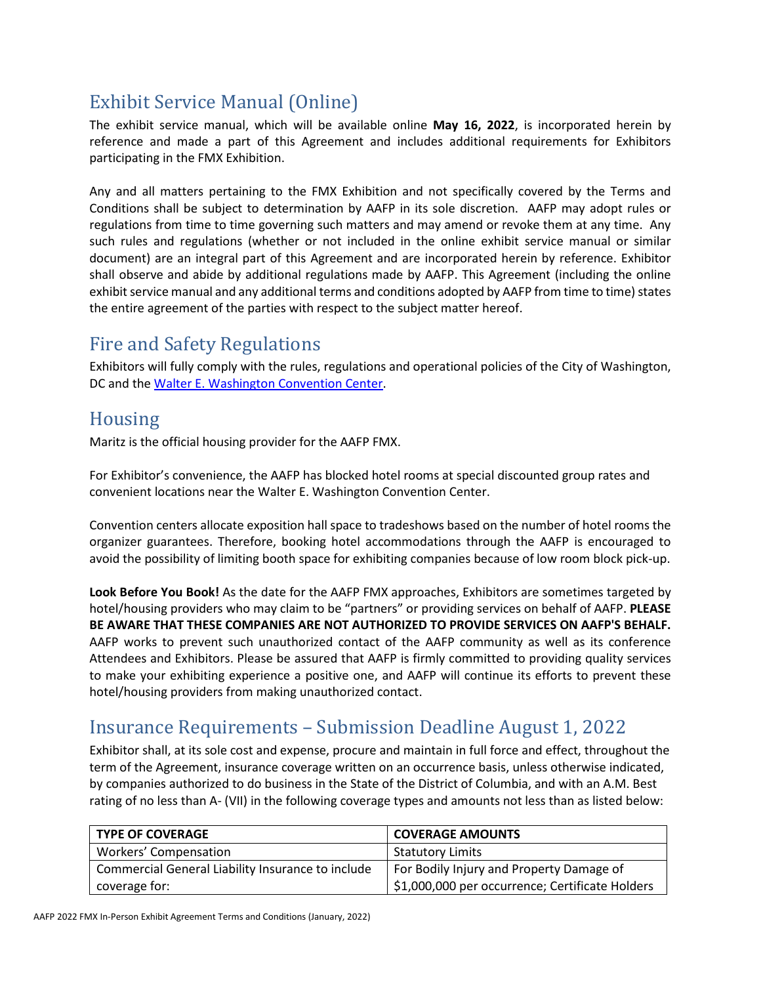# <span id="page-17-0"></span>Exhibit Service Manual (Online)

The exhibit service manual, which will be available online **May 16, 2022**, is incorporated herein by reference and made a part of this Agreement and includes additional requirements for Exhibitors participating in the FMX Exhibition.

Any and all matters pertaining to the FMX Exhibition and not specifically covered by the Terms and Conditions shall be subject to determination by AAFP in its sole discretion. AAFP may adopt rules or regulations from time to time governing such matters and may amend or revoke them at any time. Any such rules and regulations (whether or not included in the online exhibit service manual or similar document) are an integral part of this Agreement and are incorporated herein by reference. Exhibitor shall observe and abide by additional regulations made by AAFP. This Agreement (including the online exhibit service manual and any additional terms and conditions adopted by AAFP from time to time) states the entire agreement of the parties with respect to the subject matter hereof.

# <span id="page-17-1"></span>Fire and Safety Regulations

Exhibitors will fully comply with the rules, regulations and operational policies of the City of Washington, DC and the [Walter E. Washington Convention Center.](https://eventsdc.com/venue/walter-e-washington-convention-center/exhibitor-services)

# <span id="page-17-2"></span>Housing

Maritz is the official housing provider for the AAFP FMX.

For Exhibitor's convenience, the AAFP has blocked hotel rooms at special discounted group rates and convenient locations near the Walter E. Washington Convention Center.

Convention centers allocate exposition hall space to tradeshows based on the number of hotel rooms the organizer guarantees. Therefore, booking hotel accommodations through the AAFP is encouraged to avoid the possibility of limiting booth space for exhibiting companies because of low room block pick-up.

**Look Before You Book!** As the date for the AAFP FMX approaches, Exhibitors are sometimes targeted by hotel/housing providers who may claim to be "partners" or providing services on behalf of AAFP. **PLEASE BE AWARE THAT THESE COMPANIES ARE NOT AUTHORIZED TO PROVIDE SERVICES ON AAFP'S BEHALF.** AAFP works to prevent such unauthorized contact of the AAFP community as well as its conference Attendees and Exhibitors. Please be assured that AAFP is firmly committed to providing quality services to make your exhibiting experience a positive one, and AAFP will continue its efforts to prevent these hotel/housing providers from making unauthorized contact.

# <span id="page-17-3"></span>Insurance Requirements – Submission Deadline August 1, 2022

Exhibitor shall, at its sole cost and expense, procure and maintain in full force and effect, throughout the term of the Agreement, insurance coverage written on an occurrence basis, unless otherwise indicated, by companies authorized to do business in the State of the District of Columbia, and with an A.M. Best rating of no less than A- (VII) in the following coverage types and amounts not less than as listed below:

| <b>TYPE OF COVERAGE</b>                           | <b>COVERAGE AMOUNTS</b>                         |
|---------------------------------------------------|-------------------------------------------------|
| Workers' Compensation                             | <b>Statutory Limits</b>                         |
| Commercial General Liability Insurance to include | For Bodily Injury and Property Damage of        |
| coverage for:                                     | \$1,000,000 per occurrence; Certificate Holders |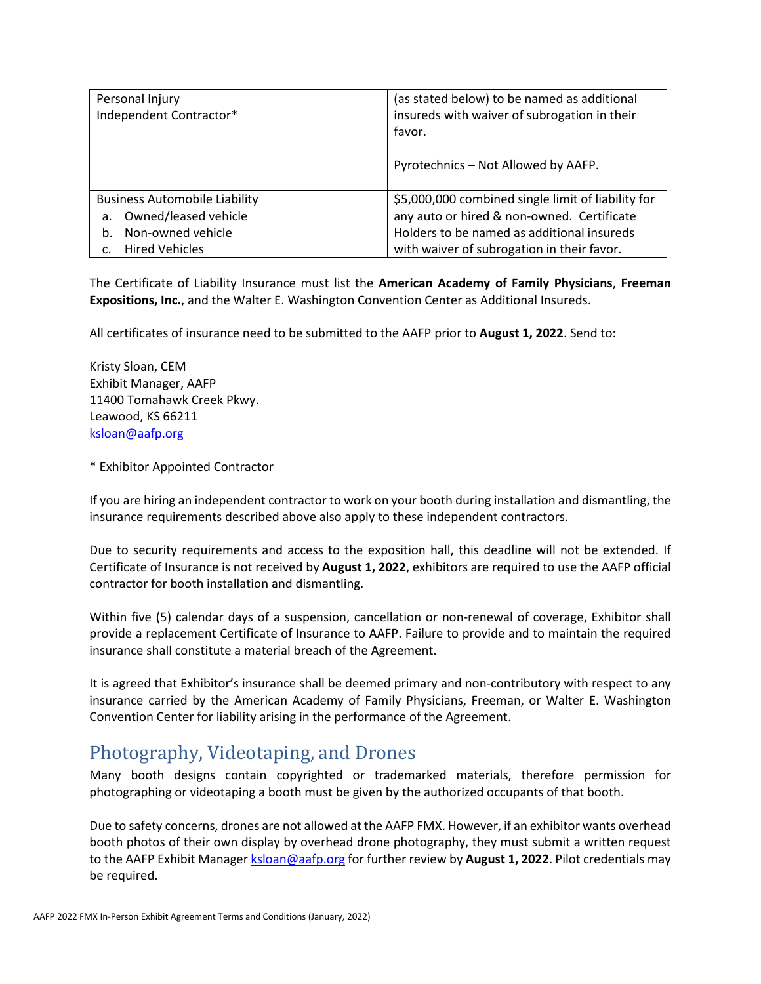| Personal Injury                      | (as stated below) to be named as additional        |
|--------------------------------------|----------------------------------------------------|
| Independent Contractor*              | insureds with waiver of subrogation in their       |
|                                      | favor.                                             |
|                                      |                                                    |
|                                      | Pyrotechnics - Not Allowed by AAFP.                |
|                                      |                                                    |
| <b>Business Automobile Liability</b> | \$5,000,000 combined single limit of liability for |
| Owned/leased vehicle<br>a.           | any auto or hired & non-owned. Certificate         |
| Non-owned vehicle<br>b.              | Holders to be named as additional insureds         |
| <b>Hired Vehicles</b>                | with waiver of subrogation in their favor.         |

The Certificate of Liability Insurance must list the **American Academy of Family Physicians**, **Freeman Expositions, Inc.**, and the Walter E. Washington Convention Center as Additional Insureds.

All certificates of insurance need to be submitted to the AAFP prior to **August 1, 2022**. Send to:

Kristy Sloan, CEM Exhibit Manager, AAFP 11400 Tomahawk Creek Pkwy. Leawood, KS 66211 [ksloan@aafp.org](mailto:ksloan@aafp.org)

\* Exhibitor Appointed Contractor

If you are hiring an independent contractor to work on your booth during installation and dismantling, the insurance requirements described above also apply to these independent contractors.

Due to security requirements and access to the exposition hall, this deadline will not be extended. If Certificate of Insurance is not received by **August 1, 2022**, exhibitors are required to use the AAFP official contractor for booth installation and dismantling.

Within five (5) calendar days of a suspension, cancellation or non-renewal of coverage, Exhibitor shall provide a replacement Certificate of Insurance to AAFP. Failure to provide and to maintain the required insurance shall constitute a material breach of the Agreement.

It is agreed that Exhibitor's insurance shall be deemed primary and non-contributory with respect to any insurance carried by the American Academy of Family Physicians, Freeman, or Walter E. Washington Convention Center for liability arising in the performance of the Agreement.

# <span id="page-18-0"></span>Photography, Videotaping, and Drones

Many booth designs contain copyrighted or trademarked materials, therefore permission for photographing or videotaping a booth must be given by the authorized occupants of that booth.

Due to safety concerns, drones are not allowed at the AAFP FMX. However, if an exhibitor wants overhead booth photos of their own display by overhead drone photography, they must submit a written request to the AAFP Exhibit Manager [ksloan@aafp.org](mailto:ksloan@aafp.org) for further review by August 1, 2022. Pilot credentials may be required.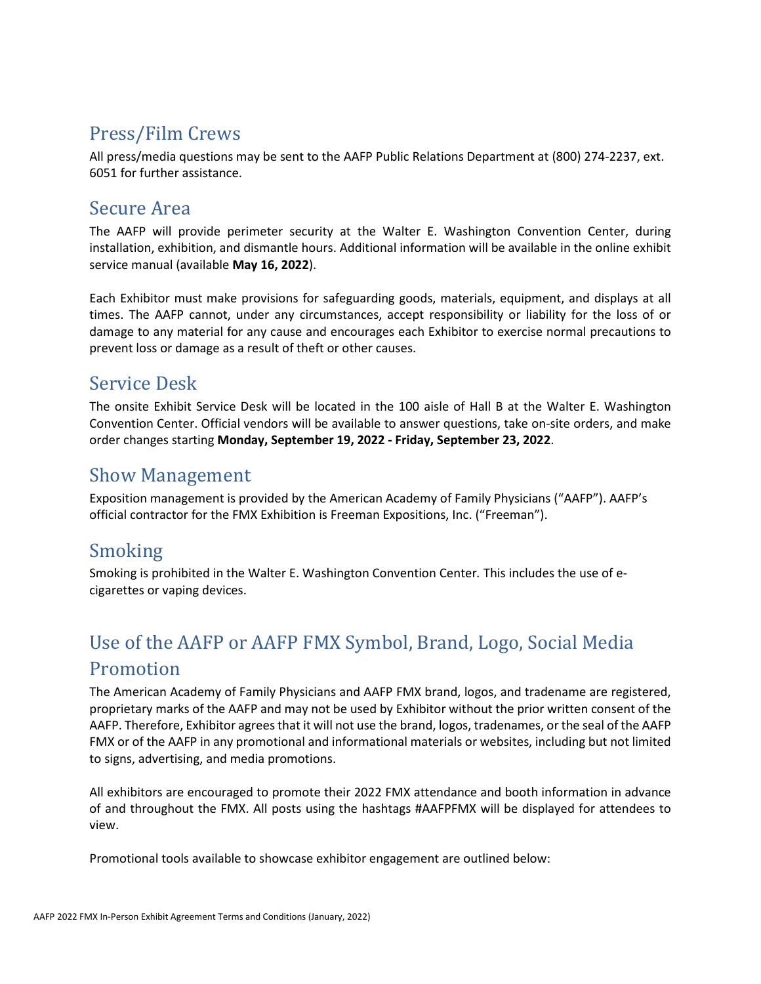# <span id="page-19-0"></span>Press/Film Crews

All press/media questions may be sent to the AAFP Public Relations Department at (800) 274-2237, ext. 6051 for further assistance.

# <span id="page-19-1"></span>Secure Area

The AAFP will provide perimeter security at the Walter E. Washington Convention Center, during installation, exhibition, and dismantle hours. Additional information will be available in the online exhibit service manual (available **May 16, 2022**).

Each Exhibitor must make provisions for safeguarding goods, materials, equipment, and displays at all times. The AAFP cannot, under any circumstances, accept responsibility or liability for the loss of or damage to any material for any cause and encourages each Exhibitor to exercise normal precautions to prevent loss or damage as a result of theft or other causes.

# <span id="page-19-2"></span>Service Desk

The onsite Exhibit Service Desk will be located in the 100 aisle of Hall B at the Walter E. Washington Convention Center. Official vendors will be available to answer questions, take on-site orders, and make order changes starting **Monday, September 19, 2022 - Friday, September 23, 2022**.

# <span id="page-19-3"></span>Show Management

Exposition management is provided by the American Academy of Family Physicians ("AAFP"). AAFP's official contractor for the FMX Exhibition is Freeman Expositions, Inc. ("Freeman").

# <span id="page-19-4"></span>Smoking

Smoking is prohibited in the Walter E. Washington Convention Center*.* This includes the use of ecigarettes or vaping devices.

# <span id="page-19-5"></span>Use of the AAFP or AAFP FMX Symbol, Brand, Logo, Social Media Promotion

The American Academy of Family Physicians and AAFP FMX brand, logos, and tradename are registered, proprietary marks of the AAFP and may not be used by Exhibitor without the prior written consent of the AAFP. Therefore, Exhibitor agrees that it will not use the brand, logos, tradenames, or the seal of the AAFP FMX or of the AAFP in any promotional and informational materials or websites, including but not limited to signs, advertising, and media promotions.

All exhibitors are encouraged to promote their 2022 FMX attendance and booth information in advance of and throughout the FMX. All posts using the hashtags #AAFPFMX will be displayed for attendees to view.

Promotional tools available to showcase exhibitor engagement are outlined below: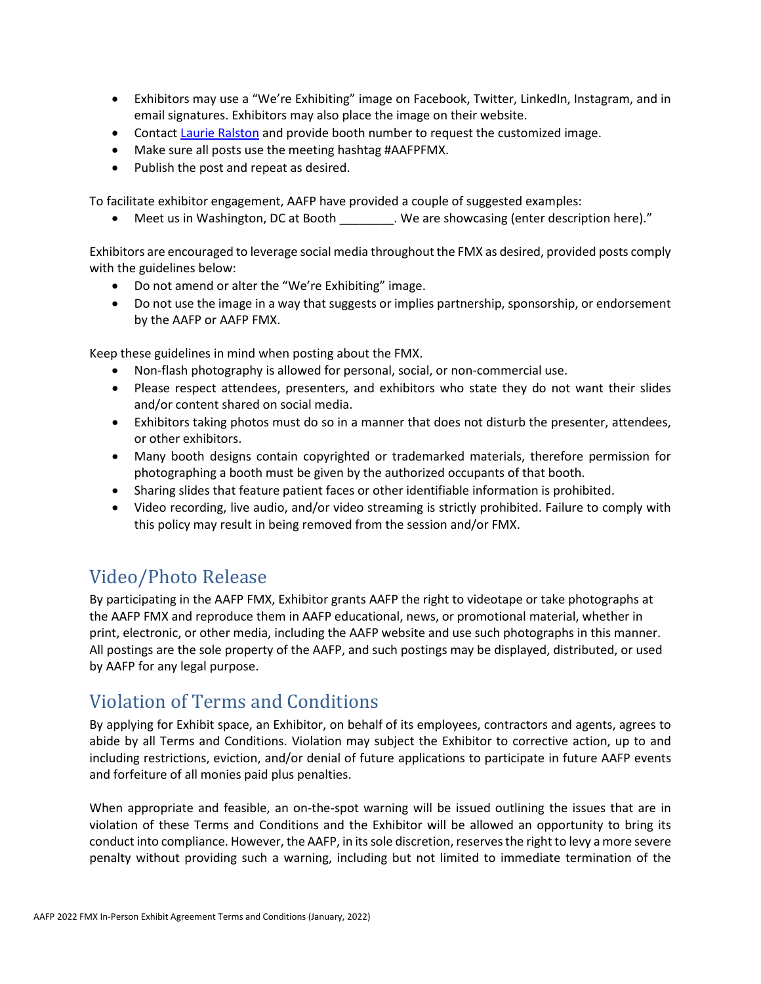- Exhibitors may use a "We're Exhibiting" image on Facebook, Twitter, LinkedIn, Instagram, and in email signatures. Exhibitors may also place the image on their website.
- Contact [Laurie Ralston](mailto:lralston@aafp.org) and provide booth number to request the customized image.
- Make sure all posts use the meeting hashtag #AAFPFMX.
- Publish the post and repeat as desired.

To facilitate exhibitor engagement, AAFP have provided a couple of suggested examples:

• Meet us in Washington, DC at Booth \_\_\_\_\_\_\_\_. We are showcasing (enter description here)."

Exhibitors are encouraged to leverage social media throughout the FMX as desired, provided posts comply with the guidelines below:

- Do not amend or alter the "We're Exhibiting" image.
- Do not use the image in a way that suggests or implies partnership, sponsorship, or endorsement by the AAFP or AAFP FMX.

Keep these guidelines in mind when posting about the FMX.

- Non-flash photography is allowed for personal, social, or non-commercial use.
- Please respect attendees, presenters, and exhibitors who state they do not want their slides and/or content shared on social media.
- Exhibitors taking photos must do so in a manner that does not disturb the presenter, attendees, or other exhibitors.
- Many booth designs contain copyrighted or trademarked materials, therefore permission for photographing a booth must be given by the authorized occupants of that booth.
- Sharing slides that feature patient faces or other identifiable information is prohibited.
- Video recording, live audio, and/or video streaming is strictly prohibited. Failure to comply with this policy may result in being removed from the session and/or FMX.

# <span id="page-20-0"></span>Video/Photo Release

By participating in the AAFP FMX, Exhibitor grants AAFP the right to videotape or take photographs at the AAFP FMX and reproduce them in AAFP educational, news, or promotional material, whether in print, electronic, or other media, including the AAFP website and use such photographs in this manner. All postings are the sole property of the AAFP, and such postings may be displayed, distributed, or used by AAFP for any legal purpose.

# <span id="page-20-1"></span>Violation of Terms and Conditions

By applying for Exhibit space, an Exhibitor, on behalf of its employees, contractors and agents, agrees to abide by all Terms and Conditions. Violation may subject the Exhibitor to corrective action, up to and including restrictions, eviction, and/or denial of future applications to participate in future AAFP events and forfeiture of all monies paid plus penalties.

When appropriate and feasible, an on-the-spot warning will be issued outlining the issues that are in violation of these Terms and Conditions and the Exhibitor will be allowed an opportunity to bring its conduct into compliance. However, the AAFP, in its sole discretion, reserves the right to levy a more severe penalty without providing such a warning, including but not limited to immediate termination of the